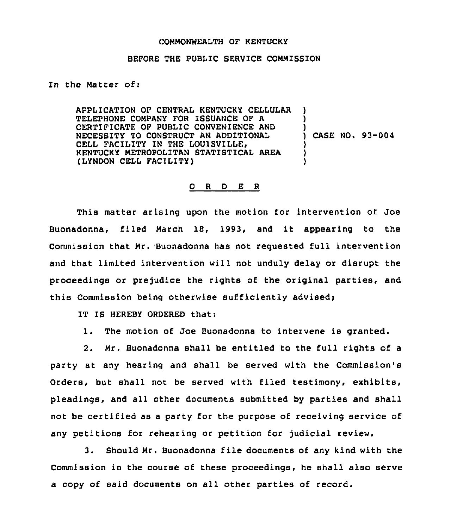## COMMONWEALTH OF KENTUCKY

## BEFORE THE PUBLIC SERVICE COMMISSION

## In the Matter of:

APPLICATION OF CENTRAL KENTUCKY CELLULAR TELEPHONE COMPANY FOR ISSUANCE OF A CERTIFICATE OF PUBLIC CONVENIENCE AND NECESSITY TO CONSTRUCT AN ADDITIONAL CELL FACILITY IN THE LOUISVILLE, KENTUCKY METROPOLITAN STATISTICAL AREA (LYNDON CELL FACILITY) ) ) ) ) CASE NO. 93-004 ) ) )

## O R D E R

This matter arising upon the motion for intervention of Joe Buonadonna, filed March 18, 1993, and it appearing to the Commission that Mr. Buonadonna has not requested full intervention and that limited intervention will not unduly delay or disrupt the proceedings or prejudice the rights of the original parties, and this Commission being otherwise sufficiently advised;

IT IS HEREBY ORDERED that:

1. The motion of Joe Buonadonna to intervene is granted.

2. Mr. Buonadonna shall be entitled to the full rights of a party at any hearing and shall be served with the Commission's Orders, but shall not be served with filed testimony, exhibits, pleadings, and all other documents submitted by parties and shall not be certified as a party for the purpose of receiving service of any petitions for rehearing or petition for judicial review.

3. Should Mr. Buonadonna file documents of any kind with the Commission in the course of these proceedings, he shall also serve a copy of said documents on all other parties of record.